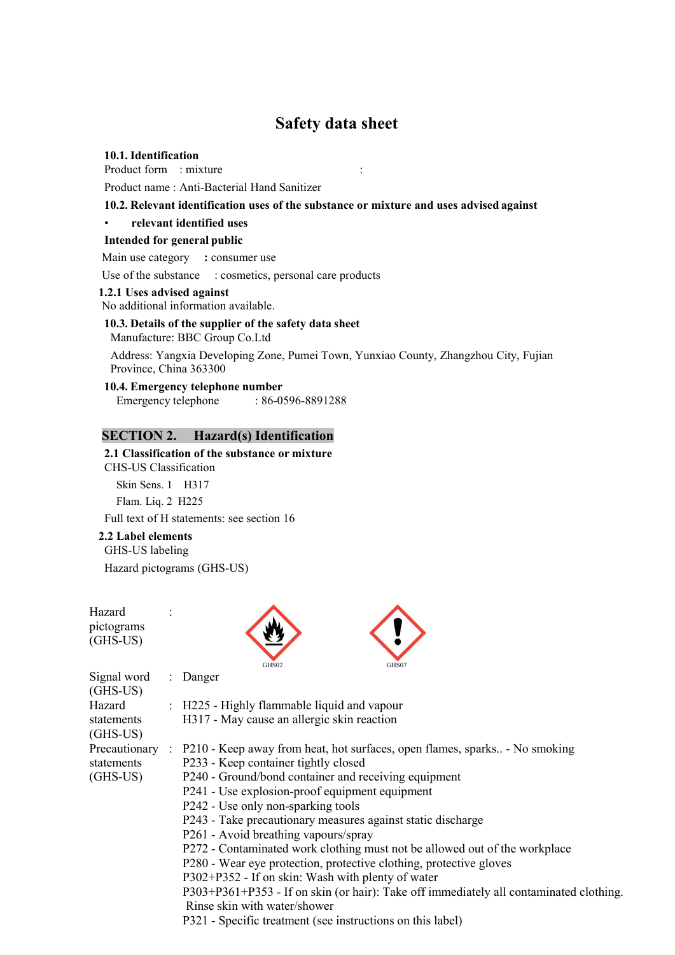# **Safety data sheet**

### **10.1. Identification**

Product form : mixture :

Product name : Anti-Bacterial Hand Sanitizer

### **10.2. Relevant identification uses of the substance or mixture and uses advised against**

### • **relevant identified uses**

### **Intended for general public**

Main use category **:** consumer use

Use of the substance : cosmetics, personal care products

### **1.2.1 Uses advised against**

No additional information available.

### 10.3. Details of the supplier of the safety data sheet Manufacture: BBC Group Co.Ltd

Address: Yangxia Developing Zone, Pumei Town, Yunxiao County, Zhangzhou City, Fujian Province, China 363300

**10.4. Emergency telephone number** Emergency telephone : 86-0596-8891288

### **SECTION 2. Hazard(s) Identification**

# **2.1 Classification of the substance or mixture** CHS-US Classification

Skin Sens. 1 H317 Flam. Liq. 2 H225

Full text of H statements: see section 16

### **2.2 Label elements**

### GHS-US labeling

Hazard pictograms (GHS-US)

Hazard pictograms (GHS-US)





| Signal word   | : Danger                                                                               |
|---------------|----------------------------------------------------------------------------------------|
| (GHS-US)      |                                                                                        |
| Hazard        | : H225 - Highly flammable liquid and vapour                                            |
| statements    | H317 - May cause an allergic skin reaction                                             |
| (GHS-US)      |                                                                                        |
| Precautionary | : P210 - Keep away from heat, hot surfaces, open flames, sparks - No smoking           |
| statements    | P233 - Keep container tightly closed                                                   |
| (GHS-US)      | P240 - Ground/bond container and receiving equipment                                   |
|               | P241 - Use explosion-proof equipment equipment                                         |
|               | P242 - Use only non-sparking tools                                                     |
|               | P243 - Take precautionary measures against static discharge                            |
|               | P261 - Avoid breathing vapours/spray                                                   |
|               | P272 - Contaminated work clothing must not be allowed out of the workplace             |
|               | P280 - Wear eye protection, protective clothing, protective gloves                     |
|               | P302+P352 - If on skin: Wash with plenty of water                                      |
|               | P303+P361+P353 - If on skin (or hair): Take off immediately all contaminated clothing. |
|               | Rinse skin with water/shower                                                           |
|               | P321 - Specific treatment (see instructions on this label)                             |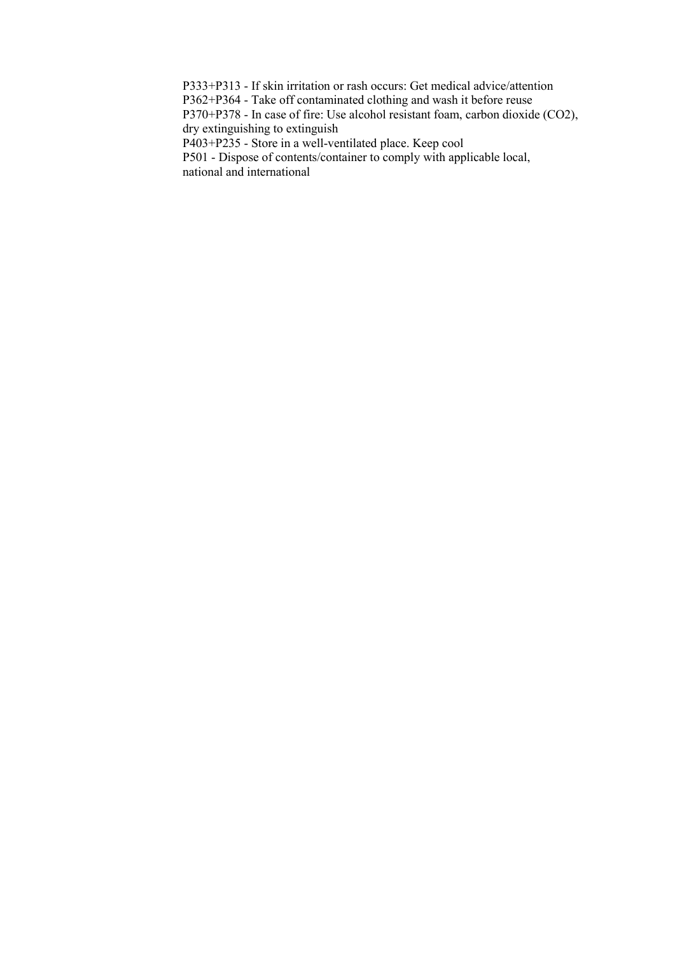P333+P313 - If skin irritation or rash occurs: Get medical advice/attention

P362+P364 - Take off contaminated clothing and wash it before reuse

P370+P378 - In case of fire: Use alcohol resistant foam, carbon dioxide (CO2), dry extinguishing to extinguish

P403+P235 - Store in a well-ventilated place. Keep cool

P501 - Dispose of contents/container to comply with applicable local, national and international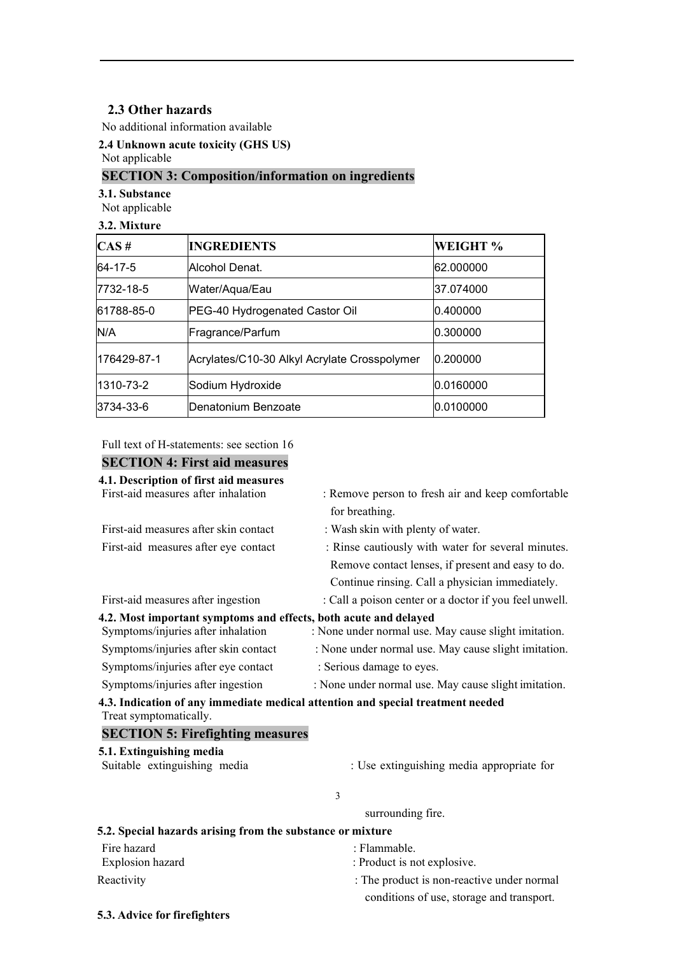# **2.3 Other hazards**<br> **Example 10**<br> **Example 20**<br> **Example 20**<br> **Example 20**<br> **Example 20**<br> **Example 20**<br> **Example 20**<br> **Example 20**<br> **Example 20**<br> **Example 20**<br> **Example 20**<br> **Example 20**<br> **Example 20**<br> **Example 20**<br> **Exam 2.3 Other hazards**<br>No additional information available<br>2.4 Unknown acute toxicity (GHS US)<br>Not applicable<br>**SECTION 3: Composition/informa**<br>3.1. Substance<br>Not applicable

# 2.3 Other hazards<br>No additional information available<br>2.4 Unknown acute toxicity (GHS US)<br>Not applicable<br>SECTION 3: Composition/information on ingredients **2.3 Other hazards**<br>No additional information available<br>2.4 Unknown acute toxicity (GHS US)<br>Not applicable<br>**SECTION 3: Composition/information on ingredients**<br>3.1. Substance

| 2.3 Other hazards                |                                                                                            |                |                                                   |
|----------------------------------|--------------------------------------------------------------------------------------------|----------------|---------------------------------------------------|
|                                  | No additional information available                                                        |                |                                                   |
| Not applicable                   | 2.4 Unknown acute toxicity (GHS US)                                                        |                |                                                   |
|                                  | <b>SECTION 3: Composition/information on ingredients</b>                                   |                |                                                   |
| 3.1. Substance<br>Not applicable |                                                                                            |                |                                                   |
| 3.2. Mixture                     |                                                                                            |                |                                                   |
| CAS#                             | <b>INGREDIENTS</b>                                                                         |                | WEIGHT %                                          |
| 64-17-5                          | Alcohol Denat.                                                                             |                | 62.000000                                         |
| 7732-18-5                        | Water/Aqua/Eau                                                                             |                | 37.074000                                         |
| 61788-85-0                       | PEG-40 Hydrogenated Castor Oil                                                             |                | 0.400000                                          |
| N/A                              | Fragrance/Parfum                                                                           |                | 0.300000                                          |
| 176429-87-1                      | Acrylates/C10-30 Alkyl Acrylate Crosspolymer                                               |                | 0.200000                                          |
| 1310-73-2                        | Sodium Hydroxide                                                                           | 0.0160000      |                                                   |
| 3734-33-6                        | Denatonium Benzoate                                                                        |                | 0.0100000                                         |
|                                  |                                                                                            |                |                                                   |
|                                  | Full text of H-statements: see section 16<br><b>SECTION 4: First aid measures</b>          |                |                                                   |
|                                  | 4.1. Description of first aid measures                                                     |                |                                                   |
|                                  | First-aid measures after inhalation                                                        | for breathing. | : Remove person to fresh air and keep comfortable |
|                                  | First-aid measures after skin contact<br>: Wash skin with plenty of water.                 |                |                                                   |
|                                  | First-aid measures after eye contact<br>: Rinse cautiously with water for several minutes. |                |                                                   |

| N/H                                                      | riagiance/ranum                                            |                                                                                 | υ.ουυυυ                                                |  |
|----------------------------------------------------------|------------------------------------------------------------|---------------------------------------------------------------------------------|--------------------------------------------------------|--|
| 176429-87-1                                              |                                                            | Acrylates/C10-30 Alkyl Acrylate Crosspolymer                                    | 0.200000                                               |  |
| 1310-73-2                                                | Sodium Hydroxide                                           |                                                                                 | 0.0160000                                              |  |
| 3734-33-6                                                | Denatonium Benzoate                                        |                                                                                 | 0.0100000                                              |  |
|                                                          |                                                            |                                                                                 |                                                        |  |
|                                                          | Full text of H-statements: see section 16                  |                                                                                 |                                                        |  |
|                                                          | <b>SECTION 4: First aid measures</b>                       |                                                                                 |                                                        |  |
|                                                          | 4.1. Description of first aid measures                     |                                                                                 |                                                        |  |
|                                                          | First-aid measures after inhalation                        |                                                                                 | : Remove person to fresh air and keep comfortable      |  |
|                                                          |                                                            | for breathing.                                                                  |                                                        |  |
|                                                          | First-aid measures after skin contact                      | : Wash skin with plenty of water.                                               |                                                        |  |
|                                                          | First-aid measures after eye contact                       |                                                                                 | : Rinse cautiously with water for several minutes.     |  |
|                                                          |                                                            |                                                                                 | Remove contact lenses, if present and easy to do.      |  |
|                                                          |                                                            |                                                                                 | Continue rinsing. Call a physician immediately.        |  |
| First-aid measures after ingestion                       |                                                            | 4.2. Most important symptoms and effects, both acute and delayed                | : Call a poison center or a doctor if you feel unwell. |  |
|                                                          | Symptoms/injuries after inhalation                         | : None under normal use. May cause slight imitation.                            |                                                        |  |
|                                                          | Symptoms/injuries after skin contact                       | : None under normal use. May cause slight imitation.                            |                                                        |  |
|                                                          | Symptoms/injuries after eye contact                        | : Serious damage to eyes.                                                       |                                                        |  |
|                                                          | Symptoms/injuries after ingestion                          | : None under normal use. May cause slight imitation.                            |                                                        |  |
| Treat symptomatically.                                   |                                                            | 4.3. Indication of any immediate medical attention and special treatment needed |                                                        |  |
|                                                          | <b>SECTION 5: Firefighting measures</b>                    |                                                                                 |                                                        |  |
| 5.1. Extinguishing media<br>Suitable extinguishing media |                                                            |                                                                                 | : Use extinguishing media appropriate for              |  |
|                                                          |                                                            |                                                                                 |                                                        |  |
|                                                          |                                                            | 3<br>surrounding fire.                                                          |                                                        |  |
|                                                          | 5.2. Special hazards arising from the substance or mixture |                                                                                 |                                                        |  |
| Fire hazard                                              |                                                            | : Flammable.                                                                    |                                                        |  |
| Explosion hazard                                         |                                                            | : Product is not explosive.                                                     |                                                        |  |
| Reactivity                                               |                                                            |                                                                                 | : The product is non-reactive under normal             |  |
|                                                          |                                                            |                                                                                 | conditions of use, storage and transport.              |  |
|                                                          | 5.3. Advice for firefighters                               |                                                                                 |                                                        |  |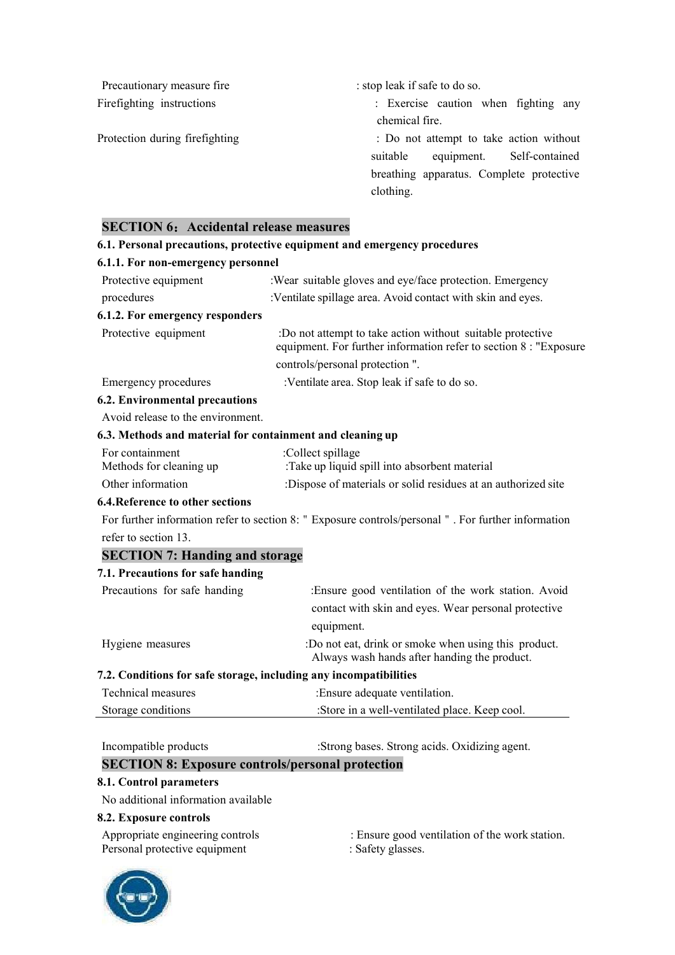Precautionary measure fire : stop leak if safe to do so.<br>Firefighting instructions : Exercise caution when fighting any chemical fire. Protection during firefighting  $\cdot$  Do not attempt to take action without suitable equipment. Self-contained breathing apparatus. Complete protective clothing. **SECTION 6**:**Accidental release measures 6.1. Personal precautions, protective equipment and emergency procedures 6.1.1. For non-emergency personnel**

| :Wear suitable gloves and eye/face protection. Emergency                                                                        |  |  |  |
|---------------------------------------------------------------------------------------------------------------------------------|--|--|--|
| :Ventilate spillage area. Avoid contact with skin and eyes.                                                                     |  |  |  |
| 6.1.2. For emergency responders                                                                                                 |  |  |  |
| :Do not attempt to take action without suitable protective<br>equipment. For further information refer to section 8 : "Exposure |  |  |  |
| controls/personal protection".                                                                                                  |  |  |  |
| :Ventilate area. Stop leak if safe to do so.                                                                                    |  |  |  |
|                                                                                                                                 |  |  |  |
| Avoid release to the environment.                                                                                               |  |  |  |
| 6.3. Methods and material for containment and cleaning up                                                                       |  |  |  |
| :Collect spillage<br>:Take up liquid spill into absorbent material                                                              |  |  |  |
| :Dispose of materials or solid residues at an authorized site                                                                   |  |  |  |
|                                                                                                                                 |  |  |  |
| For further information refer to section 8: " Exposure controls/personal " . For further information                            |  |  |  |
|                                                                                                                                 |  |  |  |
| <b>SECTION 7: Handing and storage</b>                                                                                           |  |  |  |
| 7.1. Precautions for safe handing                                                                                               |  |  |  |
| :Ensure good ventilation of the work station. Avoid                                                                             |  |  |  |
| contact with skin and eyes. Wear personal protective                                                                            |  |  |  |
| equipment.                                                                                                                      |  |  |  |
| :Do not eat, drink or smoke when using this product.<br>Always wash hands after handing the product.                            |  |  |  |
| 7.2. Conditions for safe storage, including any incompatibilities                                                               |  |  |  |
| : Ensure adequate ventilation.                                                                                                  |  |  |  |
| :Store in a well-ventilated place. Keep cool.                                                                                   |  |  |  |
| :Strong bases. Strong acids. Oxidizing agent.                                                                                   |  |  |  |
|                                                                                                                                 |  |  |  |

## **SECTION 8: Exposure controls/personal protection**

### **8.1. Control parameters**

No additional information available

### **8.2. Exposure controls**

Personal protective equipment : Safety glasses.

- Appropriate engineering controls : Ensure good ventilation of the work station.
	-

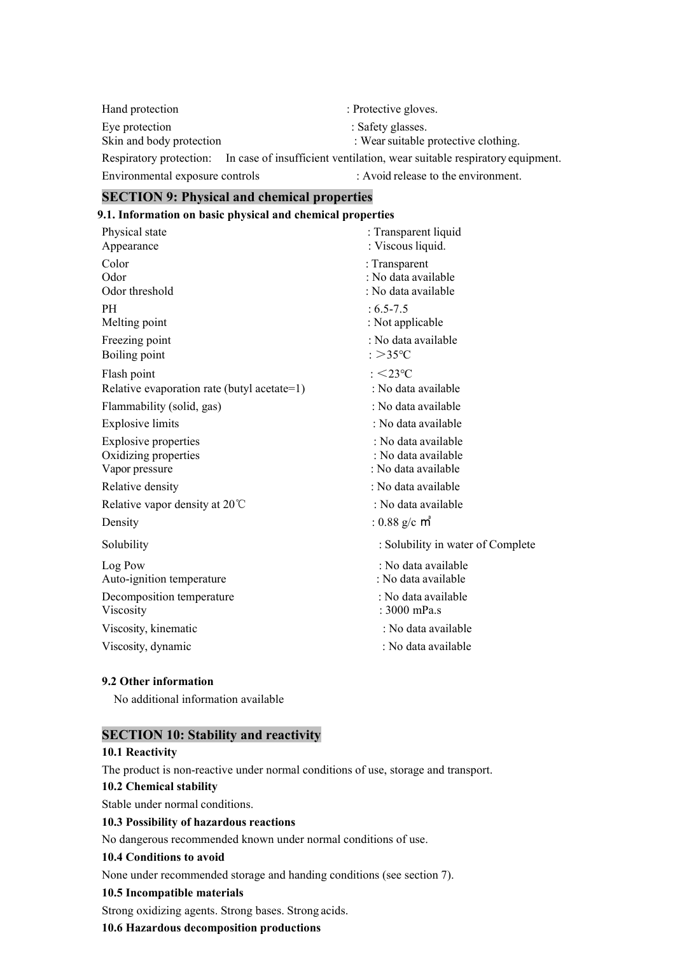Hand protection : Protective gloves. Eye protection : Safety glasses. Skin and body protection : Wear suitable protective clothing. Respiratory protection: In case of insufficient ventilation, wear suitable respiratory equipment.

Environmental exposure controls : Avoid release to the environment.

# **SECTION 9: Physical and chemical properties**

| 9.1. Information on basic physical and chemical properties |                                                             |  |
|------------------------------------------------------------|-------------------------------------------------------------|--|
| Physical state<br>Appearance                               | : Transparent liquid<br>: Viscous liquid.                   |  |
| Color<br>Odor<br>Odor threshold                            | : Transparent<br>: No data available<br>: No data available |  |
| PH.<br>Melting point                                       | $: 6.5 - 7.5$<br>: Not applicable                           |  |
| Freezing point<br>Boiling point                            | : No data available<br>: $>35^{\circ}$ C                    |  |
| Flash point<br>Relative evaporation rate (butyl acetate=1) | $\therefore$ <23 °C<br>: No data available                  |  |
| Flammability (solid, gas)                                  | : No data available                                         |  |
| <b>Explosive limits</b>                                    | : No data available                                         |  |
| Explosive properties                                       | : No data available                                         |  |

Oxidizing properties : No data available Vapor pressure : No data available : No data available Relative density  $\cdot$  No data available

Relative vapor density at 20℃ : No data available

Log Pow : No data available Auto-ignition temperature : No data available

Decomposition temperature : No data available

Density  $: 0.88 \text{ g/c } \text{m}^3$ 

Solubility : Solubility in water of Complete

- 
- 
- 
- Viscosity : 3000 mPa.s
- Viscosity, kinematic : No data available : No data available
- Viscosity, dynamic : No data available : No data available

### **9.2 Other information**

No additional information available

## **SECTION 10: Stability and reactivity**

# **10.1 Reactivity**

The product is non-reactive under normal conditions of use, storage and transport.

### **10.2** Chemical stability

Stable under normal conditions.

### **10.3 Possibility of hazardous reactions**

No dangerous recommended known under normal conditions of use.

### **10.4 Conditions to avoid**

None under recommended storage and handing conditions (see section 7).

## **10.5 Incompatible materials**

Strong oxidizing agents. Strong bases. Strong acids.

# **10.6 Hazardous decomposition productions**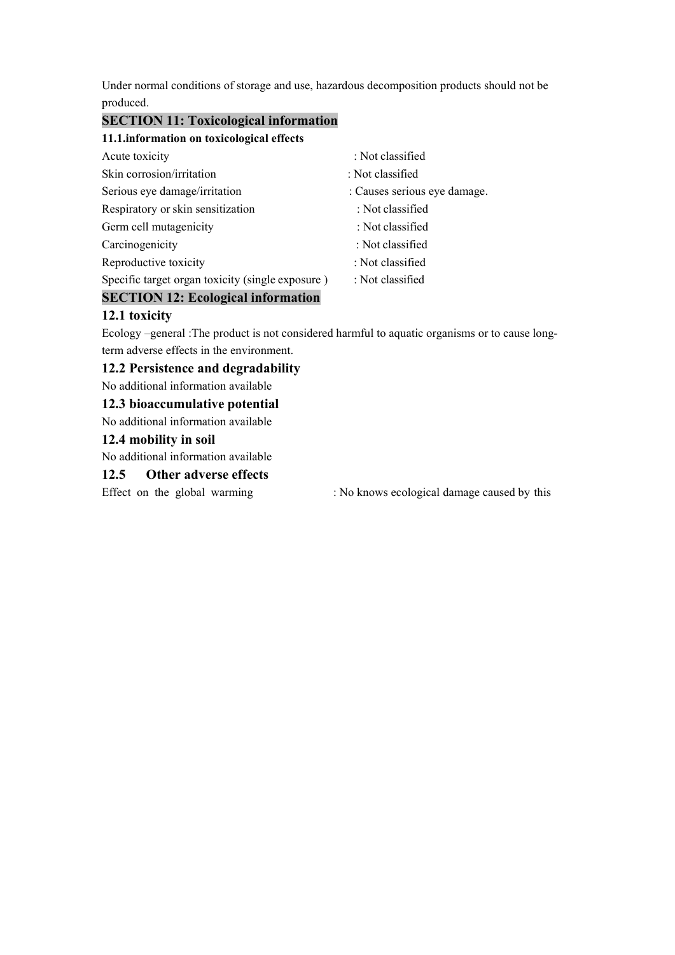Under normal conditions of storage and use, hazardous decomposition products should not be produced.

# **SECTION 11: Toxicological information**

### **11.1.information on toxicological effects**

| Acute toxicity                                   | : Not classified             |
|--------------------------------------------------|------------------------------|
| Skin corrosion/irritation                        | : Not classified             |
| Serious eye damage/irritation                    | : Causes serious eye damage. |
| Respiratory or skin sensitization                | : Not classified             |
| Germ cell mutagenicity                           | : Not classified             |
| Carcinogenicity                                  | : Not classified             |
| Reproductive toxicity                            | : Not classified             |
| Specific target organ toxicity (single exposure) | : Not classified             |

# **SECTION 12: Ecological information**

## **12.1 toxicity**

Ecology –general :The product is not considered harmful to aquatic organisms or to cause longterm adverse effects in the environment.

### **12.2 Persistence and degradability**

No additional information available

### **12.3 bioaccumulative potential**

No additional information available

### **12.4 mobility in soil**

No additional information available

### **12.5 Other adverse effects**

Effect on the global warming : No knows ecological damage caused by this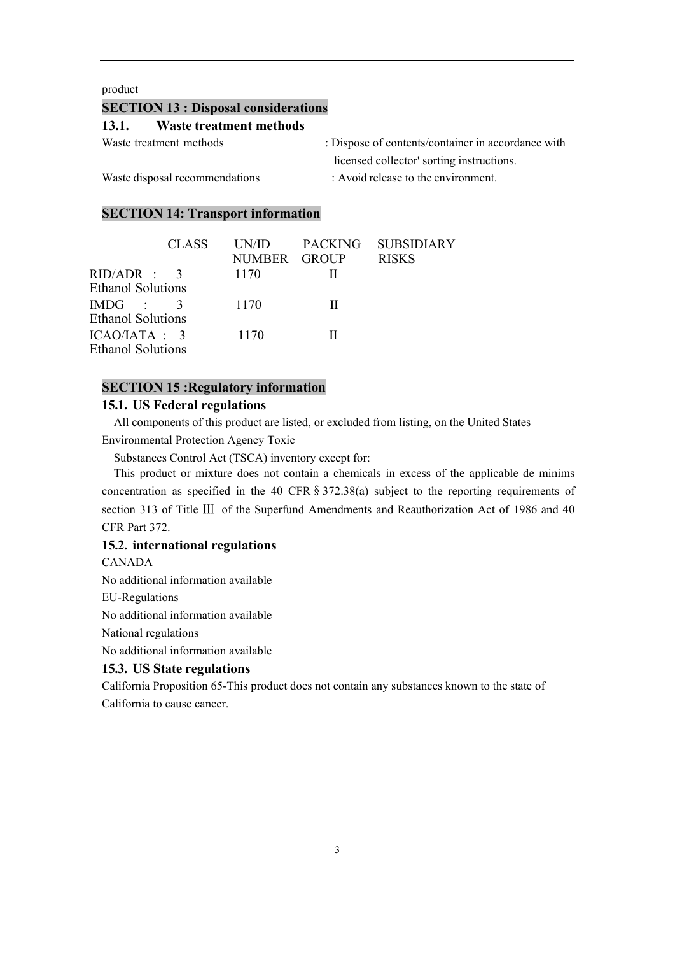### product

| product                        |              |                                             |                                |                                                    |
|--------------------------------|--------------|---------------------------------------------|--------------------------------|----------------------------------------------------|
|                                |              | <b>SECTION 13 : Disposal considerations</b> |                                |                                                    |
| 13.1.                          |              | <b>Waste treatment methods</b>              |                                |                                                    |
| Waste treatment methods        |              |                                             |                                | : Dispose of contents/container in accordance with |
|                                |              |                                             |                                | licensed collector' sorting instructions.          |
| Waste disposal recommendations |              |                                             |                                | : Avoid release to the environment.                |
|                                |              |                                             |                                |                                                    |
|                                |              | <b>SECTION 14: Transport information</b>    |                                |                                                    |
|                                |              |                                             |                                |                                                    |
|                                | <b>CLASS</b> | UN/ID<br><b>NUMBER</b>                      | <b>PACKING</b><br><b>GROUP</b> | <b>SUBSIDIARY</b><br><b>RISKS</b>                  |
| ID/ADR :                       | 3            | 1170                                        | $\mathbf{I}$                   |                                                    |
| thanol Solutions               |              |                                             |                                |                                                    |
| MDG                            | 3            | 1170                                        | $\mathbf{I}$                   |                                                    |
| thanol Solutions               |              |                                             |                                |                                                    |

| SECTION 15 : Disposal considerations                |                                |                                     |                                                                                                  |  |
|-----------------------------------------------------|--------------------------------|-------------------------------------|--------------------------------------------------------------------------------------------------|--|
| 13.1.                                               | <b>Waste treatment methods</b> |                                     |                                                                                                  |  |
| Waste treatment methods                             |                                |                                     | : Dispose of contents/container in accordance with                                               |  |
|                                                     |                                |                                     | licensed collector' sorting instructions.                                                        |  |
| Waste disposal recommendations                      |                                | : Avoid release to the environment. |                                                                                                  |  |
| <b>SECTION 14: Transport information</b>            |                                |                                     |                                                                                                  |  |
| <b>CLASS</b>                                        | UN/ID<br><b>NUMBER</b>         | <b>PACKING</b><br><b>GROUP</b>      | <b>SUBSIDIARY</b><br><b>RISKS</b>                                                                |  |
| RID/ADR<br>3<br><b>Ethanol Solutions</b>            | 1170                           | $\mathbf{I}$                        |                                                                                                  |  |
| IMDG<br>3<br><b>Ethanol Solutions</b>               | 1170                           | $\mathbf{I}$                        |                                                                                                  |  |
| ICAO/IATA : 3<br><b>Ethanol Solutions</b>           | 1170                           | $\mathbf{I}$                        |                                                                                                  |  |
| <b>SECTION 15: Regulatory information</b>           |                                |                                     |                                                                                                  |  |
| 15.1. US Federal regulations                        |                                |                                     |                                                                                                  |  |
|                                                     |                                |                                     | All components of this product are listed, or excluded from listing, on the United States        |  |
| <b>Environmental Protection Agency Toxic</b>        |                                |                                     |                                                                                                  |  |
|                                                     |                                |                                     |                                                                                                  |  |
| Substances Control Act (TSCA) inventory except for: |                                |                                     |                                                                                                  |  |
|                                                     |                                |                                     | This product or mixture does not contain a chemicals in excess of the applicable de minims       |  |
|                                                     |                                |                                     | concentration as specified in the 40 CFR $\S 372.38(a)$ subject to the reporting requirements of |  |
|                                                     |                                |                                     | section 313 of Title III of the Superfund Amendments and Reauthorization Act of 1986 and 40      |  |

G : 3 1170 II<br>
mol Solutions<br>
O/IATA : 3 1170 II<br>
mol Solutions<br> **ECTION 15 :Regulatory information**<br> **A.I. US Federal regulations**<br>
All components of this product are listed, or excluded from listing, on the United States FRGITION 15 : The **Example in the 40 CFR**§372.38(a) subject to the reporting requirements of this product are listed, or excluded from listing, on the United States<br>FRISTION 15 : Regulations<br>All components of this product AO/IATA : 3 1170 II<br>
hanol Solutions<br>
SECTION 15 :Regulatory information<br>
15.1. US Federal regulations<br>
All components of this product are listed, or excluded from listing, on the United States<br>
Environmental Protection A **SECTION 15 : Regulatory information**<br> **SECTION 15 : Regulatory information**<br> **15.1. US Federal regulations**<br>
All components of this product are listed, or e:<br>
Environmental Protection Agency Toxic<br>
Substances Control Act hanol Solutions<br> **SECTION 15 : Regulatory information**<br> **15.1. US Federal regulations**<br>
All components of this product are listed, or excluded from listin<br>
Environmental Protection Agency Toxic<br>
Substances Control Act (TSC **15.1. US Federal regulations**<br>
All components of this product are listed, or excluded from list<br>
Environmental Protection Agency Toxic<br>
Substances Control Act (TSCA) inventory except for:<br>
This product or mixture does not Environmental Protection Agency Toxic<br>
Substances Control Act (TSCA) inventory except for:<br>
This product or mixture does not contain a chemicals in exconcentration as specified in the 40 CFR § 372.38(a) subject<br>
section 31 Substances Control Act (TSCA) inventory ex<br>This product or mixture does not contain a<br>concentration as specified in the 40 CFR § 3<br>section 313 of Title III of the Superfund Ame<br>CFR Part 372.<br>**15.2. international regulation** This product or mixture does not contain a chemicals in exconcentration as specified in the 40 CFR  $\S$  372.38(a) subject<br>section 313 of Title III of the Superfund Amendments and Rea<br>CFR Part 372.<br>**15.2. international regu** This product or mixture does not contain a chemicals in<br>concentration as specified in the 40 CFR § 372.38(a) subje<br>section 313 of Title III of the Superfund Amendments and<br>CFR Part 372.<br>**15.2. international regulations**<br>CA

CANADA

EU-Regulations

section 313 of 1tite III of the Superfund Amendments and Reauthorization Act of 1986 and 40<br>CFR Part 372.<br>CANADA<br>CANADA<br>No additional information available<br>EU-Regulations<br>No additional information available<br>National regula CFR Part 3/2.<br> **15.2. international regulations**<br>
CANADA<br>
No additional information available<br>
EU-Regulations<br>
No additional information available<br>
National regulations<br>
No additional information available<br> **15.3. US State**